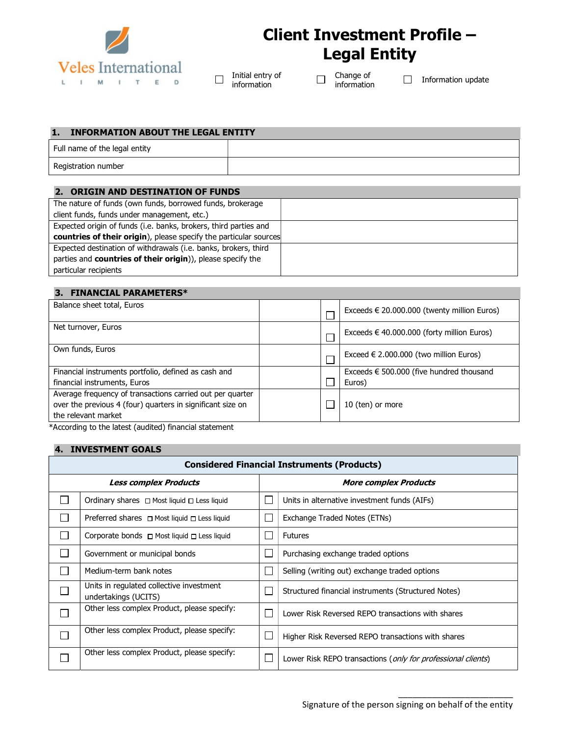

# Client Investment Profile – Legal Entity

Initial entry of  $\Box$ information

Change of  $\Box$ 

Change or □ Information update<br>information

#### 1. INFORMATION ABOUT THE LEGAL ENTITY

| Full name of the legal entity |  |
|-------------------------------|--|
| Registration number           |  |

#### 2. ORIGIN AND DESTINATION OF FUNDS

| <b>countries of their origin</b> ), please specify the particular sources |
|---------------------------------------------------------------------------|
|                                                                           |
|                                                                           |
|                                                                           |
|                                                                           |

#### 3. FINANCIAL PARAMETERS\*

| Balance sheet total, Euros                                 |  | Exceeds $\in$ 20.000.000 (twenty million Euros)   |
|------------------------------------------------------------|--|---------------------------------------------------|
| Net turnover, Euros                                        |  | Exceeds $\in$ 40.000.000 (forty million Euros)    |
| Own funds, Euros                                           |  | Exceed $\in$ 2.000.000 (two million Euros)        |
| Financial instruments portfolio, defined as cash and       |  | Exceeds $\epsilon$ 500.000 (five hundred thousand |
| financial instruments, Euros                               |  | Euros)                                            |
| Average frequency of transactions carried out per quarter  |  |                                                   |
| over the previous 4 (four) quarters in significant size on |  | 10 (ten) or more                                  |
| the relevant market                                        |  |                                                   |
| *According to the latest (audited) financial statement     |  |                                                   |

4. INVESTMENT GOALS

|                             | <b>Considered Financial Instruments (Products)</b>               |  |                                                                       |  |  |  |  |
|-----------------------------|------------------------------------------------------------------|--|-----------------------------------------------------------------------|--|--|--|--|
|                             | <b>Less complex Products</b>                                     |  | <b>More complex Products</b>                                          |  |  |  |  |
|                             | Ordinary shares $\Box$ Most liquid $\Box$ Less liquid            |  | Units in alternative investment funds (AIFs)                          |  |  |  |  |
|                             | Preferred shares $\Box$ Most liquid $\Box$ Less liquid           |  | Exchange Traded Notes (ETNs)                                          |  |  |  |  |
| $\mathcal{L}_{\mathcal{A}}$ | Corporate bonds $\Box$ Most liquid $\Box$ Less liquid            |  | <b>Futures</b>                                                        |  |  |  |  |
| l.                          | Government or municipal bonds                                    |  | Purchasing exchange traded options                                    |  |  |  |  |
| <b>Contract</b>             | Medium-term bank notes                                           |  | Selling (writing out) exchange traded options                         |  |  |  |  |
|                             | Units in regulated collective investment<br>undertakings (UCITS) |  | Structured financial instruments (Structured Notes)                   |  |  |  |  |
| $\Box$                      | Other less complex Product, please specify:                      |  | Lower Risk Reversed REPO transactions with shares                     |  |  |  |  |
| T,                          | Other less complex Product, please specify:                      |  | Higher Risk Reversed REPO transactions with shares                    |  |  |  |  |
|                             | Other less complex Product, please specify:                      |  | Lower Risk REPO transactions ( <i>only for professional clients</i> ) |  |  |  |  |

\_\_\_\_\_\_\_\_\_\_\_\_\_\_\_\_\_\_\_\_\_\_\_\_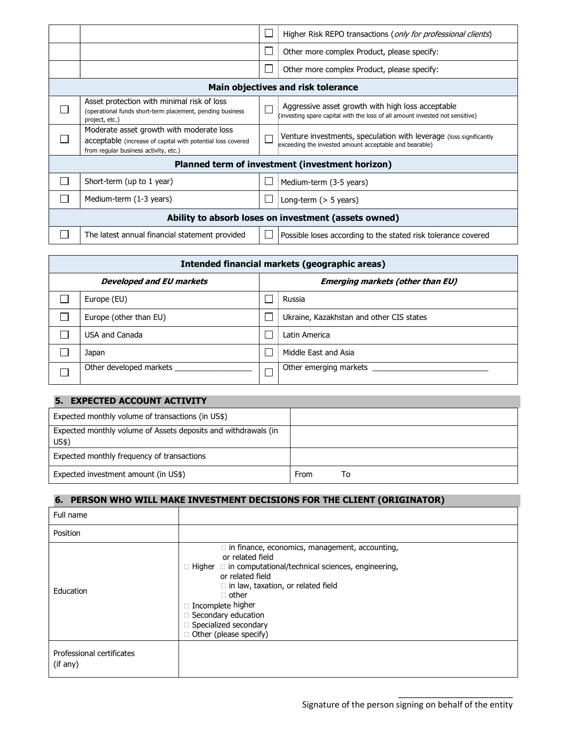|                                                      |                                                                                                                                                  |  | Higher Risk REPO transactions (only for professional clients)                                                                     |  |  |
|------------------------------------------------------|--------------------------------------------------------------------------------------------------------------------------------------------------|--|-----------------------------------------------------------------------------------------------------------------------------------|--|--|
|                                                      |                                                                                                                                                  |  | Other more complex Product, please specify:                                                                                       |  |  |
|                                                      |                                                                                                                                                  |  | Other more complex Product, please specify:                                                                                       |  |  |
|                                                      |                                                                                                                                                  |  | Main objectives and risk tolerance                                                                                                |  |  |
|                                                      | Asset protection with minimal risk of loss<br>(operational funds short-term placement, pending business<br>project, etc.)                        |  | Aggressive asset growth with high loss acceptable<br>(investing spare capital with the loss of all amount invested not sensitive) |  |  |
|                                                      | Moderate asset growth with moderate loss<br>acceptable (increase of capital with potential loss covered<br>from regular business activity, etc.) |  | Venture investments, speculation with leverage (loss significantly<br>exceeding the invested amount acceptable and bearable)      |  |  |
|                                                      |                                                                                                                                                  |  | Planned term of investment (investment horizon)                                                                                   |  |  |
|                                                      | Short-term (up to 1 year)                                                                                                                        |  | Medium-term (3-5 years)                                                                                                           |  |  |
|                                                      | Medium-term (1-3 years)                                                                                                                          |  | Long-term $($ > 5 years)                                                                                                          |  |  |
| Ability to absorb loses on investment (assets owned) |                                                                                                                                                  |  |                                                                                                                                   |  |  |
|                                                      | The latest annual financial statement provided                                                                                                   |  | Possible loses according to the stated risk tolerance covered                                                                     |  |  |

| Intended financial markets (geographic areas) |                                         |                                          |  |  |  |  |
|-----------------------------------------------|-----------------------------------------|------------------------------------------|--|--|--|--|
| <b>Developed and EU markets</b>               | <b>Emerging markets (other than EU)</b> |                                          |  |  |  |  |
| Europe (EU)                                   |                                         | Russia                                   |  |  |  |  |
| Europe (other than EU)                        |                                         | Ukraine, Kazakhstan and other CIS states |  |  |  |  |
| <b>USA and Canada</b>                         |                                         | Latin America                            |  |  |  |  |
| Japan                                         |                                         | Middle East and Asia                     |  |  |  |  |
| Other developed markets                       |                                         | Other emerging markets                   |  |  |  |  |

# 5. EXPECTED ACCOUNT ACTIVITY

| Expected monthly volume of transactions (in US\$)              |      |    |
|----------------------------------------------------------------|------|----|
| Expected monthly volume of Assets deposits and withdrawals (in |      |    |
| US\$                                                           |      |    |
| Expected monthly frequency of transactions                     |      |    |
| Expected investment amount (in US\$)                           | From | To |

## 6. PERSON WHO WILL MAKE INVESTMENT DECISIONS FOR THE CLIENT (ORIGINATOR)

| Full name                             |                                                                                                                                                                                                                                                                                                                                       |
|---------------------------------------|---------------------------------------------------------------------------------------------------------------------------------------------------------------------------------------------------------------------------------------------------------------------------------------------------------------------------------------|
| Position                              |                                                                                                                                                                                                                                                                                                                                       |
| Education                             | $\Box$ in finance, economics, management, accounting,<br>or related field<br>$\Box$ Higher $\Box$ in computational/technical sciences, engineering,<br>or related field<br>$\Box$ in law, taxation, or related field<br>$\Box$ other<br>□ Incomplete higher<br>Secondary education<br>Specialized secondary<br>Other (please specify) |
| Professional certificates<br>(if any) |                                                                                                                                                                                                                                                                                                                                       |

\_\_\_\_\_\_\_\_\_\_\_\_\_\_\_\_\_\_\_\_\_\_\_\_